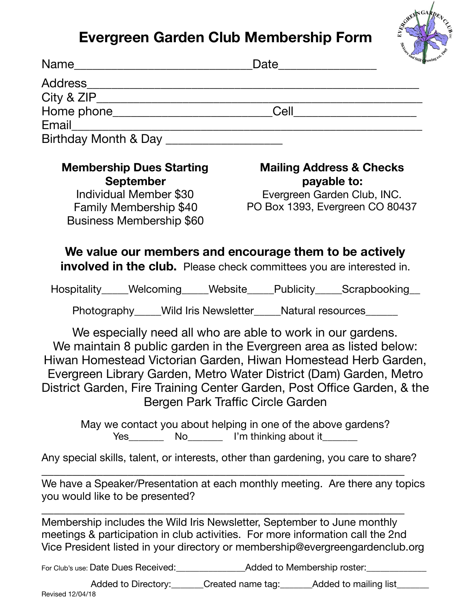## **Evergreen Garden Club Membership Form**



|                                                                                                                                            | Date                                                                                                                                                                                                                                                                                                                                                                                      |
|--------------------------------------------------------------------------------------------------------------------------------------------|-------------------------------------------------------------------------------------------------------------------------------------------------------------------------------------------------------------------------------------------------------------------------------------------------------------------------------------------------------------------------------------------|
|                                                                                                                                            |                                                                                                                                                                                                                                                                                                                                                                                           |
|                                                                                                                                            |                                                                                                                                                                                                                                                                                                                                                                                           |
|                                                                                                                                            |                                                                                                                                                                                                                                                                                                                                                                                           |
|                                                                                                                                            |                                                                                                                                                                                                                                                                                                                                                                                           |
| Birthday Month & Day                                                                                                                       |                                                                                                                                                                                                                                                                                                                                                                                           |
| <b>Membership Dues Starting</b><br><b>September</b><br>Individual Member \$30<br><b>Family Membership \$40</b><br>Business Membership \$60 | <b>Mailing Address &amp; Checks</b><br>payable to:<br>Evergreen Garden Club, INC.<br>PO Box 1393, Evergreen CO 80437                                                                                                                                                                                                                                                                      |
|                                                                                                                                            | We value our members and encourage them to be actively<br>involved in the club. Please check committees you are interested in.                                                                                                                                                                                                                                                            |
|                                                                                                                                            | Hospitality_____Welcoming_____Website_____Publicity_____Scrapbooking__                                                                                                                                                                                                                                                                                                                    |
|                                                                                                                                            | Photography____Wild Iris Newsletter____Natural resources______                                                                                                                                                                                                                                                                                                                            |
|                                                                                                                                            | We especially need all who are able to work in our gardens.<br>We maintain 8 public garden in the Evergreen area as listed below:<br>Hiwan Homestead Victorian Garden, Hiwan Homestead Herb Garden,<br>Evergreen Library Garden, Metro Water District (Dam) Garden, Metro<br>District Garden, Fire Training Center Garden, Post Office Garden, & the<br>Bergen Park Traffic Circle Garden |
| May we contact you about helping in one of the above gardens?                                                                              |                                                                                                                                                                                                                                                                                                                                                                                           |
|                                                                                                                                            | Any special skills, talent, or interests, other than gardening, you care to share?                                                                                                                                                                                                                                                                                                        |
| We have a Speaker/Presentation at each monthly meeting. Are there any topics<br>you would like to be presented?                            |                                                                                                                                                                                                                                                                                                                                                                                           |

Membership includes the Wild Iris Newsletter, September to June monthly meetings & participation in club activities. For more information call the 2nd Vice President listed in your directory or membership@evergreengardenclub.org

For Club's use: Date Dues Received:\_\_\_\_\_\_\_\_\_\_\_\_\_\_\_Added to Membership roster:\_\_\_\_\_\_\_\_\_\_\_\_\_

Added to Directory:\_\_\_\_\_\_\_Created name tag:\_\_\_\_\_\_\_Added to mailing list\_\_\_ Revised 12/04/18